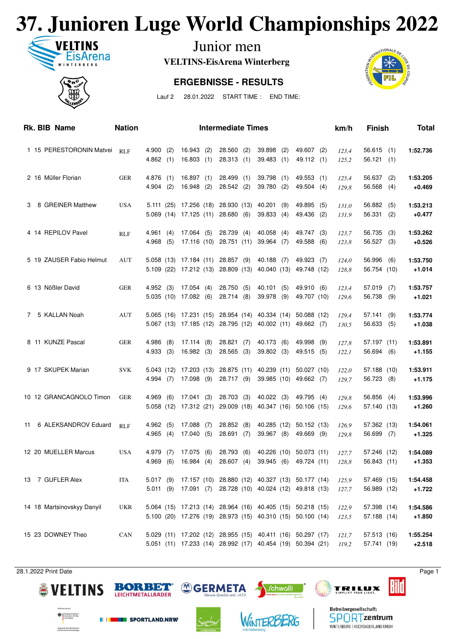## **37. Junioren Luge World Championships 2022**



Junior men

**VELTINS-EisArena Winterberg**

#### **ERGEBNISSE - RESULTS**





Lauf 2 28.01.2022 START TIME : END TIME:

|    | Rk. BIB Name               | <b>Nation</b> |                         |     |                                    |     | <b>Intermediate Times</b>                                                      |                                                                                                                          |            |                                       |     | km/h           | <b>Finish</b>               |     | <b>Total</b>         |
|----|----------------------------|---------------|-------------------------|-----|------------------------------------|-----|--------------------------------------------------------------------------------|--------------------------------------------------------------------------------------------------------------------------|------------|---------------------------------------|-----|----------------|-----------------------------|-----|----------------------|
|    | 1 15 PERESTORONIN Matvei   | <b>RLF</b>    | 4.900(2)<br>4.862(1)    |     | 16.943(2)<br>16.803                | (1) | 28.560 (2)<br>28.313(1)                                                        | 39.898<br>39.483                                                                                                         | (2)<br>(1) | 49.607 (2)<br>49.112 (1)              |     | 123,4<br>125,2 | $56.615$ (1)<br>56.121(1)   |     | 1:52.736             |
|    | 2 16 Müller Florian        | <b>GER</b>    | 4.876(1)<br>$4.904$ (2) |     | 16.897(1)<br>16.948                | (2) | 28.499 (1)<br>28.542 (2)                                                       | 39.798<br>39.780                                                                                                         | (1)<br>(2) | 49.553 (1)<br>49.504 (4)              |     | 125,4<br>129,8 | 56.637<br>56.568 (4)        | (2) | 1:53.205<br>$+0.469$ |
| З  | 8 GREINER Matthew          | <b>USA</b>    |                         |     |                                    |     | 5.111 (25) 17.256 (18) 28.930 (13) 40.201<br>5.069 (14) 17.125 (11) 28.680 (6) | 39.833                                                                                                                   | (9)<br>(4) | 49.895<br>49.436 (2)                  | (5) | 131,0<br>131,9 | 56.882<br>56.331 (2)        | (5) | 1:53.213<br>$+0.477$ |
|    | 4 14 REPILOV Pavel         | <b>RLF</b>    | 4.961<br>4.968(5)       | (4) | 17.064(5)                          |     | 28.739 (4)<br>17.116 (10) 28.751 (11)                                          | 40.058<br>39.964                                                                                                         | (4)<br>(7) | 49.747 (3)<br>49.588 (6)              |     | 123,7<br>123,8 | 56.735<br>$56.527$ (3)      | (3) | 1:53.262<br>$+0.526$ |
|    | 5 19 ZAUSER Fabio Helmut   | AUT           |                         |     |                                    |     | 5.058 (13) 17.184 (11) 28.857 (9)<br>5.109 (22) 17.212 (13) 28.809 (13)        | 40.188                                                                                                                   | (7)        | 49.923 (7)<br>40.040 (13) 49.748 (12) |     | 124,0<br>128,8 | 56.996<br>56.754 (10)       | (6) | 1:53.750<br>$+1.014$ |
|    | 6 13 Nößler David          | <b>GER</b>    | 4.952(3)                |     | 17.054(4)<br>5.035(10) 17.082(6)   |     | 28.750 (5)<br>28.714 (8)                                                       | 40.101<br>39.978 (9)                                                                                                     | (5)        | 49.910 (6)<br>49.707 (10)             |     | 123,4<br>129,6 | 57.019<br>56.738 (9)        | (7) | 1:53.757<br>$+1.021$ |
| 7  | 5 KALLAN Noah              | AUT           |                         |     |                                    |     |                                                                                | 5.065 (16) 17.231 (15) 28.954 (14) 40.334 (14) 50.088 (12)<br>5.067 (13) 17.185 (12) 28.795 (12) 40.002 (11) 49.662 (7)  |            |                                       |     | 129,4<br>130,5 | 57.141<br>56.633 (5)        | (9) | 1:53.774<br>$+1.038$ |
|    | 8 11 KUNZE Pascal          | GER           | $4.986$ (8)<br>4.933(3) |     | 17.114(8)<br>16.982(3)             |     | 28.821(7)<br>$28.565$ (3)                                                      | 40.173<br>39.802 (3)                                                                                                     | (6)        | 49.998<br>49.515 (5)                  | (9) | 127,8<br>122,1 | 57.197 (11)<br>56.694 (6)   |     | 1:53.891<br>$+1.155$ |
|    | 9 17 SKUPEK Marian         | <b>SVK</b>    | 4.994(7)                |     | 17.098 (9)                         |     | 28.717 (9)                                                                     | 5.043 (12) 17.203 (13) 28.875 (11) 40.239 (11) 50.027 (10)                                                               |            | 39.985 (10) 49.662 (7)                |     | 122,0<br>129,7 | 57.188 (10)<br>56.723 (8)   |     | 1:53.911<br>$+1.175$ |
|    | 10 12 GRANCAGNOLO Timon    | <b>GER</b>    | 4.969(6)                |     | 17.041(3)                          |     | 28.703 (3)                                                                     | 40.022(3)<br>5.058 (12) 17.312 (21) 29.009 (18) 40.347 (16) 50.106 (15)                                                  |            | 49.795 (4)                            |     | 129,8<br>129,6 | $56.856$ (4)<br>57.140 (13) |     | 1:53.996<br>$+1.260$ |
| 11 | 6 ALEKSANDROV Eduard       | <b>RLF</b>    | 4.962(5)<br>4.965(4)    |     | 17.088<br>17.040 (5)               | (7) | 28.852 (8)<br>28.691 (7)                                                       | 39.967 (8)                                                                                                               |            | 40.285 (12) 50.152 (13)<br>49.669 (9) |     | 126,9<br>129,8 | 57.362 (13)<br>56.699 (7)   |     | 1:54.061<br>$+1.325$ |
|    | 12 20 MUELLER Marcus       | <b>USA</b>    | 4.979 (7)               |     | 17.075 (6)<br>4.969 (6) 16.984 (4) |     | 28.793 (6)                                                                     | 28.607 (4) 39.945 (6) 49.724 (11)                                                                                        |            | 40.226 (10) 50.073 (11)               |     | 127,7<br>128,8 | 57.246 (12)<br>56.843 (11)  |     | 1:54.089<br>$+1.353$ |
|    | 13 7 GUFLER Alex           | <b>ITA</b>    |                         |     |                                    |     |                                                                                | 5.017 (9) 17.157 (10) 28.880 (12) 40.327 (13) 50.177 (14)<br>5.011 (9) 17.091 (7) 28.728 (10) 40.024 (12) 49.818 (13)    |            |                                       |     | 125,9<br>127,7 | 57.469 (15)<br>56.989 (12)  |     | 1:54.458<br>$+1.722$ |
|    | 14 18 Martsinovskyy Danyil | <b>UKR</b>    |                         |     |                                    |     |                                                                                | 5.064 (15) 17.213 (14) 28.964 (16) 40.405 (15) 50.218 (15)<br>5.100 (20) 17.276 (19) 28.973 (15) 40.310 (15) 50.100 (14) |            |                                       |     | 122,9<br>123,5 | 57.398 (14)<br>57.188 (14)  |     | 1:54.586<br>$+1.850$ |
|    | 15 23 DOWNEY Theo          | CAN           |                         |     |                                    |     |                                                                                | 5.029 (11) 17.202 (12) 28.955 (15) 40.411 (16) 50.297 (17)<br>5.051 (11) 17.233 (14) 28.992 (17) 40.454 (19) 50.394 (21) |            |                                       |     | 121,7<br>119,2 | 57.513 (16)<br>57.741 (19)  |     | 1:55.254<br>$+2.518$ |
|    |                            |               |                         |     |                                    |     |                                                                                |                                                                                                                          |            |                                       |     |                |                             |     |                      |

28.1.2022 Print Date Page 1

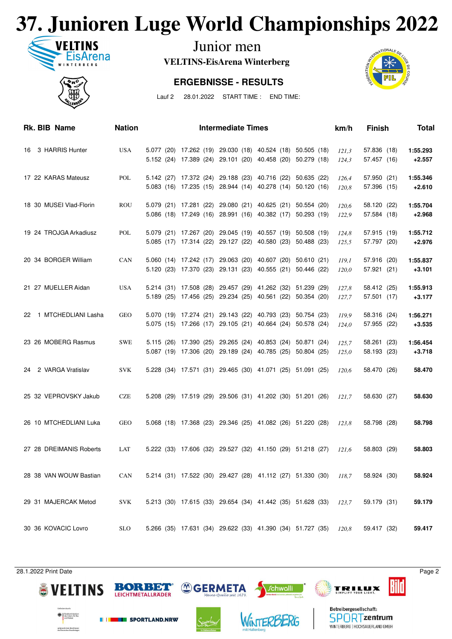## **37. Junioren Luge World Championships 2022**



Junior men

**VELTINS-EisArena Winterberg**

#### **ERGEBNISSE - RESULTS**



Lauf 2 28.01.2022 START TIME : END TIME:

| Rk. BIB Name            | <b>Nation</b> |  | <b>Intermediate Times</b>                                                                                                |  | km/h           | <b>Finish</b>              | <b>Total</b>         |
|-------------------------|---------------|--|--------------------------------------------------------------------------------------------------------------------------|--|----------------|----------------------------|----------------------|
| 16 3 HARRIS Hunter      | <b>USA</b>    |  | 5.077 (20) 17.262 (19) 29.030 (18) 40.524 (18) 50.505 (18)<br>5.152 (24) 17.389 (24) 29.101 (20) 40.458 (20) 50.279 (18) |  | 121,3<br>124,3 | 57.836 (18)<br>57.457 (16) | 1:55.293<br>$+2.557$ |
| 17 22 KARAS Mateusz     | POL           |  | 5.142 (27) 17.372 (24) 29.188 (23) 40.716 (22) 50.635 (22)<br>5.083 (16) 17.235 (15) 28.944 (14) 40.278 (14) 50.120 (16) |  | 126,4<br>120,8 | 57.950 (21)<br>57.396 (15) | 1:55.346<br>$+2.610$ |
| 18 30 MUSEI Vlad-Florin | <b>ROU</b>    |  | 5.079 (21) 17.281 (22) 29.080 (21) 40.625 (21) 50.554 (20)<br>5.086 (18) 17.249 (16) 28.991 (16) 40.382 (17) 50.293 (19) |  | 120,6<br>122,9 | 58.120 (22)<br>57.584 (18) | 1:55.704<br>$+2.968$ |
| 19 24 TROJGA Arkadiusz  | POL           |  | 5.079 (21) 17.267 (20) 29.045 (19) 40.557 (19) 50.508 (19)<br>5.085 (17) 17.314 (22) 29.127 (22) 40.580 (23) 50.488 (23) |  | 124,8<br>125,5 | 57.915 (19)<br>57.797 (20) | 1:55.712<br>$+2.976$ |
| 20 34 BORGER William    | CAN           |  | 5.060 (14) 17.242 (17) 29.063 (20) 40.607 (20) 50.610 (21)<br>5.120 (23) 17.370 (23) 29.131 (23) 40.555 (21) 50.446 (22) |  | 119.1<br>120,0 | 57.916 (20)<br>57.921 (21) | 1:55.837<br>$+3.101$ |
| 21 27 MUELLER Aidan     | <b>USA</b>    |  | 5.214 (31) 17.508 (28) 29.457 (29) 41.262 (32) 51.239 (29)<br>5.189 (25) 17.456 (25) 29.234 (25) 40.561 (22) 50.354 (20) |  | 127,8<br>127,7 | 58.412 (25)<br>57.501 (17) | 1:55.913<br>$+3.177$ |
| 22 1 MTCHEDLIANI Lasha  | <b>GEO</b>    |  | 5.070 (19) 17.274 (21) 29.143 (22) 40.793 (23) 50.754 (23)<br>5.075 (15) 17.266 (17) 29.105 (21) 40.664 (24) 50.578 (24) |  | 119,9<br>124,0 | 58.316 (24)<br>57.955 (22) | 1:56.271<br>$+3.535$ |
| 23 26 MOBERG Rasmus     | <b>SWE</b>    |  | 5.115 (26) 17.390 (25) 29.265 (24) 40.853 (24) 50.871 (24)<br>5.087 (19) 17.306 (20) 29.189 (24) 40.785 (25) 50.804 (25) |  | 125,7<br>125,0 | 58.261 (23)<br>58.193 (23) | 1:56.454<br>$+3.718$ |
| 24 2 VARGA Vratislav    | <b>SVK</b>    |  | 5.228 (34) 17.571 (31) 29.465 (30) 41.071 (25) 51.091 (25)                                                               |  | 120.6          | 58.470 (26)                | 58.470               |
| 25 32 VEPROVSKY Jakub   | <b>CZE</b>    |  | 5.208 (29) 17.519 (29) 29.506 (31) 41.202 (30) 51.201 (26) 121,7                                                         |  |                | 58.630 (27)                | 58.630               |
| 26 10 MTCHEDLIANI Luka  | <b>GEO</b>    |  | 5.068 (18) 17.368 (23) 29.346 (25) 41.082 (26) 51.220 (28)                                                               |  | 123,8          | 58.798 (28)                | 58.798               |
| 27 28 DREIMANIS Roberts | LAT           |  | 5.222 (33) 17.606 (32) 29.527 (32) 41.150 (29) 51.218 (27)                                                               |  | 121,6          | 58.803 (29)                | 58.803               |
| 28 38 VAN WOUW Bastian  | CAN           |  | 5.214 (31) 17.522 (30) 29.427 (28) 41.112 (27) 51.330 (30) 118,7                                                         |  |                | 58.924 (30)                | 58.924               |
| 29 31 MAJERCAK Metod    | <b>SVK</b>    |  | 5.213 (30) 17.615 (33) 29.654 (34) 41.442 (35) 51.628 (33)                                                               |  | 123,7          | 59.179 (31)                | 59.179               |
| 30 36 KOVACIC Lovro     | <b>SLO</b>    |  | 5.266 (35) 17.631 (34) 29.622 (33) 41.390 (34) 51.727 (35)                                                               |  | 120,8          | 59.417 (32)                | 59.417               |

28.1.2022 Print Date Page 2





**THE SPORTLAND.NRW** 



WINTERBERG



Betreibergesellschaft: **SPORTzentrum** 

WINTERBERG | HOCHSAUERLAND GMBH